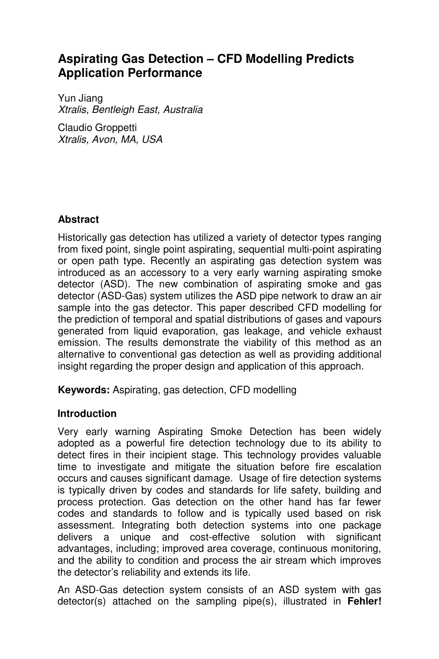# **Aspirating Gas Detection – CFD Modelling Predicts Application Performance**

Yun Jiang Xtralis, Bentleigh East, Australia

Claudio Groppetti Xtralis, Avon, MA, USA

# **Abstract**

Historically gas detection has utilized a variety of detector types ranging from fixed point, single point aspirating, sequential multi-point aspirating or open path type. Recently an aspirating gas detection system was introduced as an accessory to a very early warning aspirating smoke detector (ASD). The new combination of aspirating smoke and gas detector (ASD-Gas) system utilizes the ASD pipe network to draw an air sample into the gas detector. This paper described CFD modelling for the prediction of temporal and spatial distributions of gases and vapours generated from liquid evaporation, gas leakage, and vehicle exhaust emission. The results demonstrate the viability of this method as an alternative to conventional gas detection as well as providing additional insight regarding the proper design and application of this approach.

**Keywords:** Aspirating, gas detection, CFD modelling

# **Introduction**

Very early warning Aspirating Smoke Detection has been widely adopted as a powerful fire detection technology due to its ability to detect fires in their incipient stage. This technology provides valuable time to investigate and mitigate the situation before fire escalation occurs and causes significant damage. Usage of fire detection systems is typically driven by codes and standards for life safety, building and process protection. Gas detection on the other hand has far fewer codes and standards to follow and is typically used based on risk assessment. Integrating both detection systems into one package delivers a unique and cost-effective solution with significant advantages, including; improved area coverage, continuous monitoring, and the ability to condition and process the air stream which improves the detector's reliability and extends its life.

An ASD-Gas detection system consists of an ASD system with gas detector(s) attached on the sampling pipe(s), illustrated in **Fehler!**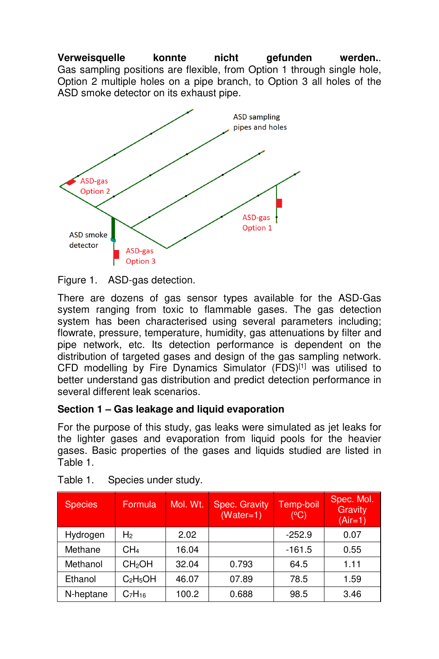**Verweisquelle konnte nicht gefunden werden.**. Gas sampling positions are flexible, from Option 1 through single hole, Option 2 multiple holes on a pipe branch, to Option 3 all holes of the ASD smoke detector on its exhaust pipe.



Figure 1. ASD-gas detection.

There are dozens of gas sensor types available for the ASD-Gas system ranging from toxic to flammable gases. The gas detection system has been characterised using several parameters including; flowrate, pressure, temperature, humidity, gas attenuations by filter and pipe network, etc. Its detection performance is dependent on the distribution of targeted gases and design of the gas sampling network. CFD modelling by Fire Dynamics Simulator (FDS)[1] was utilised to better understand gas distribution and predict detection performance in several different leak scenarios.

# **Section 1 – Gas leakage and liquid evaporation**

For the purpose of this study, gas leaks were simulated as jet leaks for the lighter gases and evaporation from liquid pools for the heavier gases. Basic properties of the gases and liquids studied are listed in Table 1.

| <b>Species</b> | Formula                        | Mol. Wt. | Spec. Gravity<br>$(Water=1)$ | Temp-boil<br>(°C) | Spec. Mol.<br>Gravity<br>$(Air=1)$ |
|----------------|--------------------------------|----------|------------------------------|-------------------|------------------------------------|
| Hydrogen       | H <sub>2</sub>                 | 2.02     |                              | $-252.9$          | 0.07                               |
| Methane        | CH4                            | 16.04    |                              | $-161.5$          | 0.55                               |
| Methanol       | <b>CH<sub>2</sub>OH</b>        | 32.04    | 0.793                        | 64.5              | 1.11                               |
| Ethanol        | $C_2H_5OH$                     | 46.07    | 07.89                        | 78.5              | 1.59                               |
| N-heptane      | C <sub>7</sub> H <sub>16</sub> | 100.2    | 0.688                        | 98.5              | 3.46                               |

Table 1. Species under study.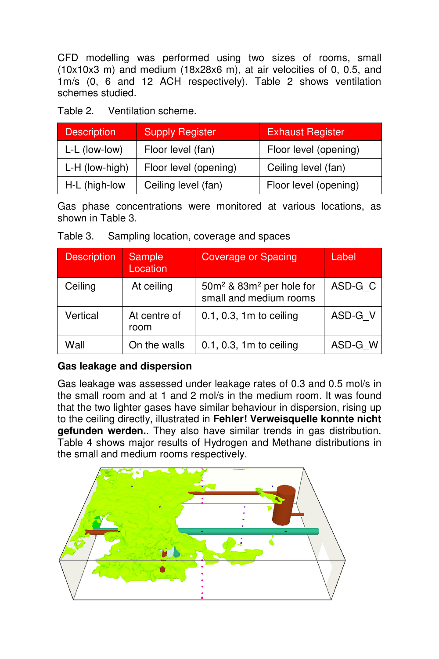CFD modelling was performed using two sizes of rooms, small (10x10x3 m) and medium (18x28x6 m), at air velocities of 0, 0.5, and 1m/s (0, 6 and 12 ACH respectively). Table 2 shows ventilation schemes studied.

Table 2. Ventilation scheme.

| <b>Description</b> | <b>Supply Register</b> | <b>Exhaust Register</b> |  |  |
|--------------------|------------------------|-------------------------|--|--|
| L-L (low-low)      | Floor level (fan)      | Floor level (opening)   |  |  |
| L-H (low-high)     | Floor level (opening)  | Ceiling level (fan)     |  |  |
| H-L (high-low      | Ceiling level (fan)    | Floor level (opening)   |  |  |

Gas phase concentrations were monitored at various locations, as shown in Table 3.

| Table 3. |  |  |  | Sampling location, coverage and spaces |
|----------|--|--|--|----------------------------------------|
|----------|--|--|--|----------------------------------------|

| <b>Description</b> | Sample<br>Location   | <b>Coverage or Spacing</b>                                                 | Label   |
|--------------------|----------------------|----------------------------------------------------------------------------|---------|
| Ceiling            | At ceiling           | 50m <sup>2</sup> & 83m <sup>2</sup> per hole for<br>small and medium rooms | ASD-G_C |
| Vertical           | At centre of<br>room | $0.1, 0.3, 1m$ to ceiling                                                  | ASD-G V |
| Wall               | On the walls         | 0.1, 0.3, 1m to ceiling                                                    | ASD-G W |

# **Gas leakage and dispersion**

Gas leakage was assessed under leakage rates of 0.3 and 0.5 mol/s in the small room and at 1 and 2 mol/s in the medium room. It was found that the two lighter gases have similar behaviour in dispersion, rising up to the ceiling directly, illustrated in **Fehler! Verweisquelle konnte nicht gefunden werden.**. They also have similar trends in gas distribution. Table 4 shows major results of Hydrogen and Methane distributions in the small and medium rooms respectively.

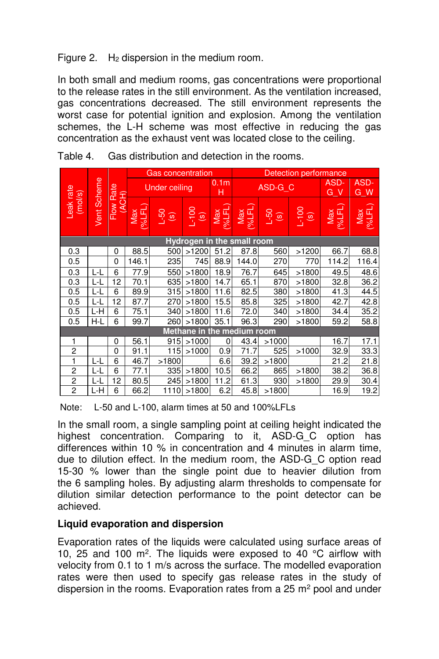Figure 2.  $H_2$  dispersion in the medium room.

In both small and medium rooms, gas concentrations were proportional to the release rates in the still environment. As the ventilation increased, gas concentrations decreased. The still environment represents the worst case for potential ignition and explosion. Among the ventilation schemes, the L-H scheme was most effective in reducing the gas concentration as the exhaust vent was located close to the ceiling.

|                      |                            |                    | <b>Detection performance</b><br><b>Gas concentration</b> |       |                            |               |               |              |                       |                  |               |
|----------------------|----------------------------|--------------------|----------------------------------------------------------|-------|----------------------------|---------------|---------------|--------------|-----------------------|------------------|---------------|
|                      |                            |                    | <b>Under ceiling</b>                                     |       | 0.1 <sub>m</sub><br>н      | ASD-G C       |               | ASD-<br>G V  | ASD-<br><b>W</b><br>G |                  |               |
| Leak rate<br>(mol/s) | Vent Scheme                | Flow Rate<br>(ACH) | (96LFL)<br>Max                                           | $-50$ | $\frac{1}{s}$ (s)          | Max<br>(%LFL) | (%LFL)<br>Max | $-50$<br>(8) | $-100$<br>(s)         | $($ %LFL)<br>Max | Max<br>(%LFL) |
|                      |                            |                    |                                                          |       | Hydrogen in the small room |               |               |              |                       |                  |               |
| 0.3                  |                            | 0                  | 88.5                                                     | 500   | >1200                      | 51.2          | 87.8          | 560          | >1200                 | 66.7             | 68.8          |
| 0.5                  |                            | 0                  | 146.1                                                    | 235   | 745                        | 88.9          | 144.0         | 270          | 770                   | 114.2            | 116.4         |
| 0.3                  | L-L                        | 6                  | 77.9                                                     | 550   | >1800                      | 18.9          | 76.7          | 645          | >1800                 | 49.5             | 48.6          |
| 0.3                  | ĿL                         | 12                 | 70.1                                                     | 635   | >1800                      | 14.7          | 65.1          | 870          | >1800                 | 32.8             | 36.2          |
| 0.5                  | ĿL                         | 6                  | 89.9                                                     | 315   | >1800                      | 11.6          | 82.5          | 380          | >1800                 | 41.3             | 44.5          |
| 0.5                  | L-L                        | 12                 | 87.7                                                     | 270   | >1800                      | 15.5          | 85.8          | 325          | >1800                 | 42.7             | 42.8          |
| 0.5                  | L-H                        | 6                  | 75.1                                                     | 340   | >1800                      | 11.6          | 72.0          | 340          | >1800                 | 34.4             | 35.2          |
| 0.5                  | H-L                        | 6                  | 99.7                                                     | 260   | >1800                      | 35.1          | 96.3          | 290          | >1800                 | 59.2             | 58.8          |
|                      | Methane in the medium room |                    |                                                          |       |                            |               |               |              |                       |                  |               |
| 1                    |                            | 0                  | 56.1                                                     | 915   | >1000                      | 0             | 43.4          | >1000        |                       | 16.7             | 17.1          |
| $\overline{2}$       |                            | $\Omega$           | 91.1                                                     | 115   | >1000                      | 0.9           | 71.7          | 525          | >1000                 | 32.9             | 33.3          |
| 1                    | L-L                        | 6                  | 46.7                                                     | >1800 |                            | 6.6           | 39.2          | >1800        |                       | 21.2             | 21.8          |
| 2                    | L-L                        | 6                  | 77.1                                                     | 335   | >1800                      | 10.5          | 66.2          | 865          | >1800                 | 38.2             | 36.8          |
| 2                    | L-L                        | 12                 | 80.5                                                     | 245   | >1800                      | 11.2          | 61.3          | 930          | >1800                 | 29.9             | 30.4          |
| $\overline{c}$       | ĿΗ                         | 6                  | 66.2                                                     | 1110  | >1800                      | 6.2           | 45.8          | >1800        |                       | 16.9             | 19.2          |

Table 4. Gas distribution and detection in the rooms.

Note: L-50 and L-100, alarm times at 50 and 100%LFLs

In the small room, a single sampling point at ceiling height indicated the highest concentration. Comparing to it, ASD-G C option has differences within 10 % in concentration and 4 minutes in alarm time, due to dilution effect. In the medium room, the ASD-G\_C option read 15-30 % lower than the single point due to heavier dilution from the 6 sampling holes. By adjusting alarm thresholds to compensate for dilution similar detection performance to the point detector can be achieved.

#### **Liquid evaporation and dispersion**

Evaporation rates of the liquids were calculated using surface areas of 10, 25 and 100  $m^2$ . The liquids were exposed to 40  $\degree$ C airflow with velocity from 0.1 to 1 m/s across the surface. The modelled evaporation rates were then used to specify gas release rates in the study of dispersion in the rooms. Evaporation rates from a 25 m<sup>2</sup> pool and under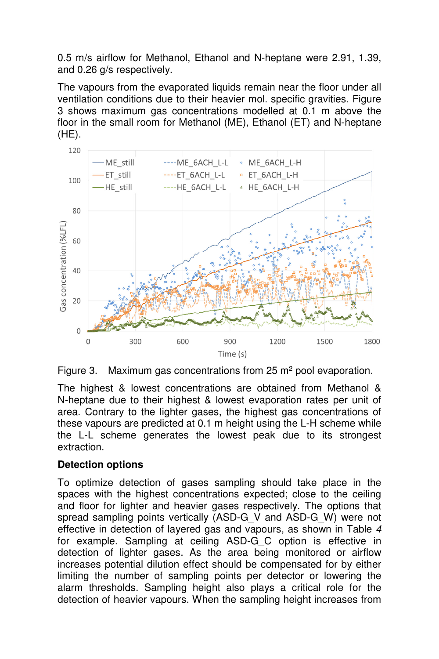0.5 m/s airflow for Methanol, Ethanol and N-heptane were 2.91, 1.39, and 0.26 g/s respectively.

The vapours from the evaporated liquids remain near the floor under all ventilation conditions due to their heavier mol. specific gravities. Figure 3 shows maximum gas concentrations modelled at 0.1 m above the floor in the small room for Methanol (ME), Ethanol (ET) and N-heptane (HE).



Figure 3. Maximum gas concentrations from 25  $m<sup>2</sup>$  pool evaporation.

The highest & lowest concentrations are obtained from Methanol & N-heptane due to their highest & lowest evaporation rates per unit of area. Contrary to the lighter gases, the highest gas concentrations of these vapours are predicted at 0.1 m height using the L-H scheme while the L-L scheme generates the lowest peak due to its strongest extraction.

# **Detection options**

To optimize detection of gases sampling should take place in the spaces with the highest concentrations expected; close to the ceiling and floor for lighter and heavier gases respectively. The options that spread sampling points vertically (ASD-G\_V and ASD-G\_W) were not effective in detection of layered gas and vapours, as shown in Table 4 for example. Sampling at ceiling ASD-G C option is effective in detection of lighter gases. As the area being monitored or airflow increases potential dilution effect should be compensated for by either limiting the number of sampling points per detector or lowering the alarm thresholds. Sampling height also plays a critical role for the detection of heavier vapours. When the sampling height increases from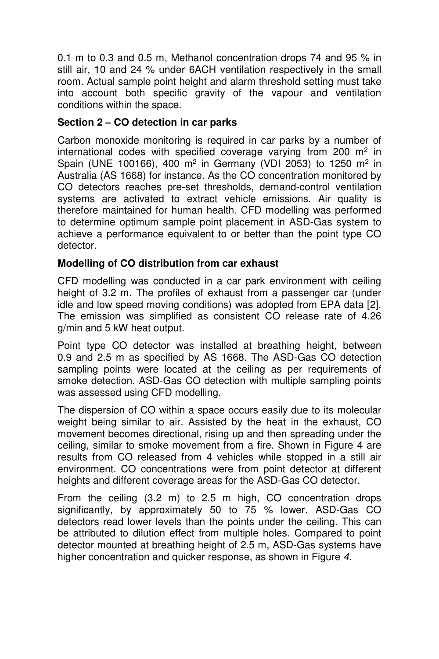0.1 m to 0.3 and 0.5 m, Methanol concentration drops 74 and 95 % in still air, 10 and 24 % under 6ACH ventilation respectively in the small room. Actual sample point height and alarm threshold setting must take into account both specific gravity of the vapour and ventilation conditions within the space.

# **Section 2 – CO detection in car parks**

Carbon monoxide monitoring is required in car parks by a number of international codes with specified coverage varying from 200  $m<sup>2</sup>$  in Spain (UNE 100166), 400 m<sup>2</sup> in Germany (VDI 2053) to 1250 m<sup>2</sup> in Australia (AS 1668) for instance. As the CO concentration monitored by CO detectors reaches pre-set thresholds, demand-control ventilation systems are activated to extract vehicle emissions. Air quality is therefore maintained for human health. CFD modelling was performed to determine optimum sample point placement in ASD-Gas system to achieve a performance equivalent to or better than the point type CO detector.

# **Modelling of CO distribution from car exhaust**

CFD modelling was conducted in a car park environment with ceiling height of 3.2 m. The profiles of exhaust from a passenger car (under idle and low speed moving conditions) was adopted from EPA data [2]. The emission was simplified as consistent CO release rate of 4.26 g/min and 5 kW heat output.

Point type CO detector was installed at breathing height, between 0.9 and 2.5 m as specified by AS 1668. The ASD-Gas CO detection sampling points were located at the ceiling as per requirements of smoke detection. ASD-Gas CO detection with multiple sampling points was assessed using CFD modelling.

The dispersion of CO within a space occurs easily due to its molecular weight being similar to air. Assisted by the heat in the exhaust, CO movement becomes directional, rising up and then spreading under the ceiling, similar to smoke movement from a fire. Shown in Figure 4 are results from CO released from 4 vehicles while stopped in a still air environment. CO concentrations were from point detector at different heights and different coverage areas for the ASD-Gas CO detector.

From the ceiling (3.2 m) to 2.5 m high, CO concentration drops significantly, by approximately 50 to 75 % lower. ASD-Gas CO detectors read lower levels than the points under the ceiling. This can be attributed to dilution effect from multiple holes. Compared to point detector mounted at breathing height of 2.5 m, ASD-Gas systems have higher concentration and quicker response, as shown in Figure 4.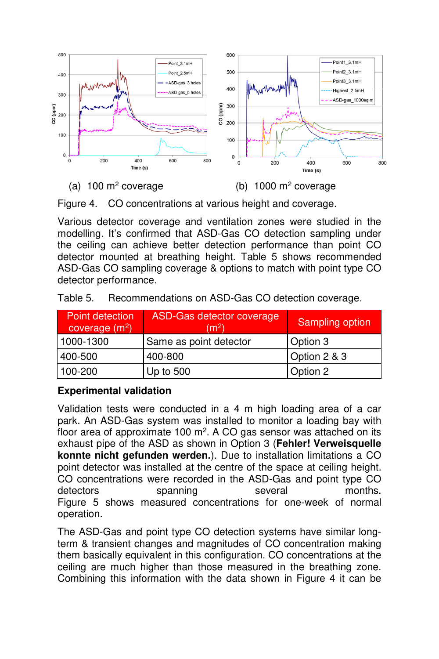

(a)  $100 \text{ m}^2$  coverage

coverage (b) 1000 m<sup>2</sup> coverage

Figure 4. CO concentrations at various height and coverage.

Various detector coverage and ventilation zones were studied in the modelling. It's confirmed that ASD-Gas CO detection sampling under the ceiling can achieve better detection performance than point CO detector mounted at breathing height. Table 5 shows recommended ASD-Gas CO sampling coverage & options to match with point type CO detector performance.

| Point detection<br>coverage $(m2)$ | <b>ASD-Gas detector coverage</b><br>(m <sup>2</sup> ) | Sampling option |
|------------------------------------|-------------------------------------------------------|-----------------|
| 1000-1300                          | Same as point detector                                | Option 3        |
| 400-500                            | 400-800                                               | Option 2 & 3    |
| 100-200                            | Up to $500$                                           | Option 2        |

Table 5. Recommendations on ASD-Gas CO detection coverage.

# **Experimental validation**

Validation tests were conducted in a 4 m high loading area of a car park. An ASD-Gas system was installed to monitor a loading bay with floor area of approximate 100 m<sup>2</sup>. A CO gas sensor was attached on its exhaust pipe of the ASD as shown in Option 3 (**Fehler! Verweisquelle konnte nicht gefunden werden.**). Due to installation limitations a CO point detector was installed at the centre of the space at ceiling height. CO concentrations were recorded in the ASD-Gas and point type CO detectors spanning several months. Figure 5 shows measured concentrations for one-week of normal operation.

The ASD-Gas and point type CO detection systems have similar longterm & transient changes and magnitudes of CO concentration making them basically equivalent in this configuration. CO concentrations at the ceiling are much higher than those measured in the breathing zone. Combining this information with the data shown in Figure 4 it can be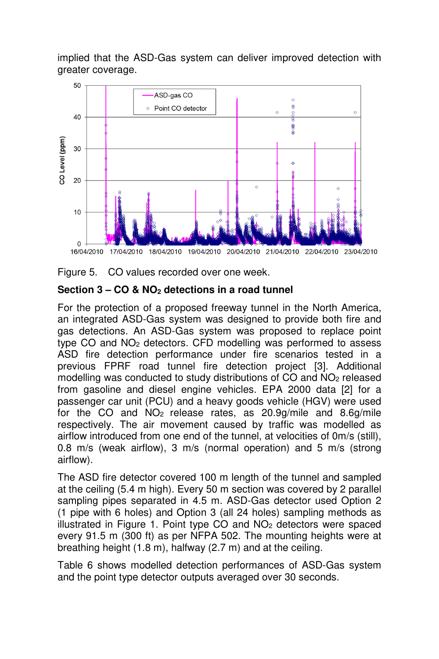implied that the ASD-Gas system can deliver improved detection with greater coverage.



Figure 5. CO values recorded over one week.

#### **Section 3 – CO & NO2 detections in a road tunnel**

For the protection of a proposed freeway tunnel in the North America, an integrated ASD-Gas system was designed to provide both fire and gas detections. An ASD-Gas system was proposed to replace point type CO and NO2 detectors. CFD modelling was performed to assess ASD fire detection performance under fire scenarios tested in a previous FPRF road tunnel fire detection project [3]. Additional modelling was conducted to study distributions of CO and NO2 released from gasoline and diesel engine vehicles. EPA 2000 data [2] for a passenger car unit (PCU) and a heavy goods vehicle (HGV) were used for the CO and NO2 release rates, as 20.9g/mile and 8.6g/mile respectively. The air movement caused by traffic was modelled as airflow introduced from one end of the tunnel, at velocities of 0m/s (still), 0.8 m/s (weak airflow), 3 m/s (normal operation) and 5 m/s (strong airflow).

The ASD fire detector covered 100 m length of the tunnel and sampled at the ceiling (5.4 m high). Every 50 m section was covered by 2 parallel sampling pipes separated in 4.5 m. ASD-Gas detector used Option 2 (1 pipe with 6 holes) and Option 3 (all 24 holes) sampling methods as illustrated in Figure 1. Point type CO and NO2 detectors were spaced every 91.5 m (300 ft) as per NFPA 502. The mounting heights were at breathing height (1.8 m), halfway (2.7 m) and at the ceiling.

Table 6 shows modelled detection performances of ASD-Gas system and the point type detector outputs averaged over 30 seconds.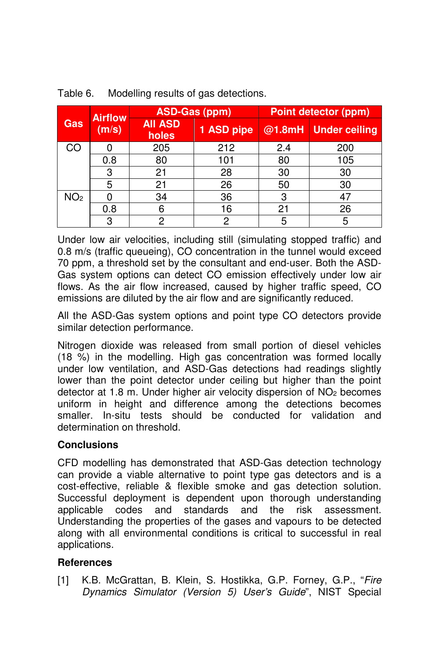|                 | <b>Airflow</b><br>(m/s) |                         | <b>ASD-Gas (ppm)</b> | <b>Point detector (ppm)</b> |                      |  |
|-----------------|-------------------------|-------------------------|----------------------|-----------------------------|----------------------|--|
| Gas             |                         | <b>AII ASD</b><br>holes | 1 ASD pipe           |                             | @1.8mH Under ceiling |  |
| CO              |                         | 205                     | 212                  | 2.4                         | 200                  |  |
|                 | 0.8                     | 80                      | 101                  | 80                          | 105                  |  |
|                 | 3                       | 21                      | 28                   | 30                          | 30                   |  |
|                 | 5                       | 21                      | 26                   | 50                          | 30                   |  |
| NO <sub>2</sub> |                         | 34                      | 36                   | 3                           | 47                   |  |
|                 | 0.8                     | 6                       | 16                   | 21                          | 26                   |  |
|                 | 3                       | 2                       | റ                    | 5                           | 5                    |  |

Table 6. Modelling results of gas detections.

Under low air velocities, including still (simulating stopped traffic) and 0.8 m/s (traffic queueing), CO concentration in the tunnel would exceed 70 ppm, a threshold set by the consultant and end-user. Both the ASD-Gas system options can detect CO emission effectively under low air flows. As the air flow increased, caused by higher traffic speed, CO emissions are diluted by the air flow and are significantly reduced.

All the ASD-Gas system options and point type CO detectors provide similar detection performance.

Nitrogen dioxide was released from small portion of diesel vehicles (18 %) in the modelling. High gas concentration was formed locally under low ventilation, and ASD-Gas detections had readings slightly lower than the point detector under ceiling but higher than the point detector at 1.8 m. Under higher air velocity dispersion of  $NO<sub>2</sub>$  becomes uniform in height and difference among the detections becomes smaller. In-situ tests should be conducted for validation and determination on threshold.

# **Conclusions**

CFD modelling has demonstrated that ASD-Gas detection technology can provide a viable alternative to point type gas detectors and is a cost-effective, reliable & flexible smoke and gas detection solution. Successful deployment is dependent upon thorough understanding applicable codes and standards and the risk assessment. Understanding the properties of the gases and vapours to be detected along with all environmental conditions is critical to successful in real applications.

# **References**

[1] K.B. McGrattan, B. Klein, S. Hostikka, G.P. Forney, G.P., "Fire Dynamics Simulator (Version 5) User's Guide", NIST Special